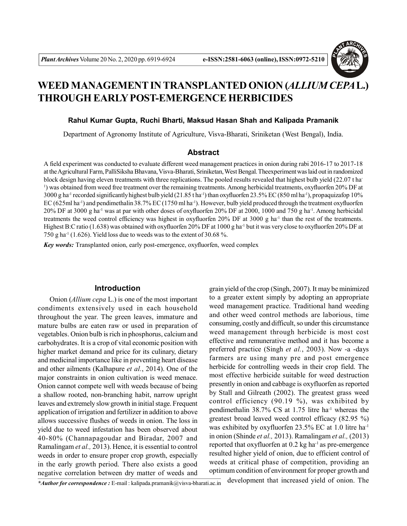

# **WEED MANAGEMENT IN TRANSPLANTED ONION (***ALLIUM CEPA***L.) THROUGH EARLY POST-EMERGENCE HERBICIDES**

#### **Rahul Kumar Gupta, Ruchi Bharti, Maksud Hasan Shah and Kalipada Pramanik**

Department of Agronomy Institute of Agriculture, Visva-Bharati, Sriniketan (West Bengal), India.

# **Abstract**

A field experiment was conducted to evaluate different weed management practices in onion during rabi 2016-17 to 2017-18 at the Agricultural Farm, PalliSiksha Bhavana, Visva-Bharati, Sriniketan, West Bengal. Theexperiment was laid out in randomized block design having eleven treatments with three replications. The pooled results revealed that highest bulb yield (22.07 t ha-1 ) was obtained from weed free treatment over the remaining treatments. Among herbicidal treatments, oxyfluorfen 20% DF at 3000 g ha<sup>-1</sup> recorded significantly highest bulb yield (21.85 t ha<sup>-1</sup>) than oxyfluorfen 23.5% EC (850 ml ha<sup>-1</sup>), propaquizafop 10% EC (625ml ha<sup>-1</sup>) and pendimethalin 38.7% EC (1750 ml ha<sup>-1</sup>). However, bulb yield produced through the treatment oxyfluorfen 20% DF at 3000 g ha-1 was at par with other doses of oxyfluorfen 20% DF at 2000, 1000 and 750 g ha-1. Among herbicidal treatments the weed control efficiency was highest in oxyfluorfen 20% DF at 3000 g ha<sup>-1</sup> than the rest of the treatments. Highest B:C ratio (1.638) was obtained with oxyfluorfen 20% DF at 1000 g ha<sup>-1</sup> but it was very close to oxyfluorfen 20% DF at 750 g ha<sup>-1</sup> (1.626). Yield loss due to weeds was to the extent of 30.68 %.

*Key words:* Transplanted onion, early post-emergence, oxyfluorfen, weed complex

## **Introduction**

Onion (*Allium cepa* L.) is one of the most important condiments extensively used in each household throughout the year. The green leaves, immature and mature bulbs are eaten raw or used in preparation of vegetables. Onion bulb is rich in phosphorus, calcium and carbohydrates. It is a crop of vital economic position with higher market demand and price for its culinary, dietary and medicinal importance like in preventing heart disease and other ailments (Kalhapure *et al.*, 2014). One of the major constraints in onion cultivation is weed menace. Onion cannot compete well with weeds because of being a shallow rooted, non-branching habit, narrow upright leaves and extremely slow growth in initial stage. Frequent application of irrigation and fertilizer in addition to above allows successive flushes of weeds in onion. The loss in yield due to weed infestation has been observed about 40-80% (Channapagoudar and Biradar, 2007 and Ramalingam *et al.,* 2013). Hence, it is essential to control weeds in order to ensure proper crop growth, especially in the early growth period. There also exists a good negative correlation between dry matter of weeds and

grain yield of the crop (Singh, 2007). It may be minimized to a greater extent simply by adopting an appropriate weed management practice. Traditional hand weeding and other weed control methods are laborious, time consuming, costly and difficult, so under this circumstance weed management through herbicide is most cost effective and remunerative method and it has become a preferred practice (Singh *et al.*, 2003). Now -a -days farmers are using many pre and post emergence herbicide for controlling weeds in their crop field. The most effective herbicide suitable for weed destruction presently in onion and cabbage is oxyfluorfen as reported by Stall and Gilreath (2002). The greatest grass weed control efficiency (90.19 %), was exhibited by pendimethalin 38.7% CS at 1.75 litre ha-1 whereas the greatest broad leaved weed control efficacy (82.95 %) was exhibited by oxyfluorfen 23.5% EC at 1.0 litre ha-1 in onion (Shinde *et al.,* 2013). Ramalingam *et al.,* (2013) reported that oxyfluorfen at  $0.2$  kg ha<sup>-1</sup> as pre-emergence resulted higher yield of onion, due to efficient control of weeds at critical phase of competition, providing an optimum condition of environment for proper growth and

*\*Author for correspondence :* E-mail : kalipada.pramanik@visva-bharati.ac.in development that increased yield of onion. The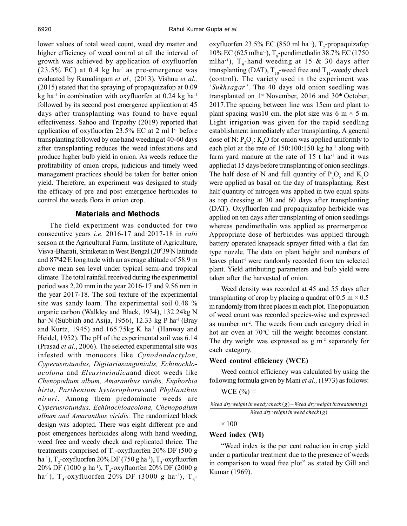lower values of total weed count, weed dry matter and higher efficiency of weed control at all the interval of growth was achieved by application of oxyfluorfen  $(23.5\%$  EC) at 0.4 kg ha<sup>-1</sup> as pre-emergence was evaluated by Ramalingam *et al.,* (2013). Vishnu *et al.,* (2015) stated that the spraying of propaquizafop at 0.09 kg ha<sup>-1</sup> in combination with oxyfluorfen at  $0.24$  kg ha<sup>-1</sup> followed by its second post emergence application at 45 days after transplanting was found to have equal effectiveness. Sahoo and Tripathy (2019) reported that application of oxyfluorfen  $23.5\%$  EC at 2 ml  $l$ <sup>-1</sup> before transplanting followed by one hand weeding at 40-60 days after transplanting reduces the weed infestations and produce higher bulb yield in onion. As weeds reduce the profitability of onion crops, judicious and timely weed management practices should be taken for better onion yield. Therefore, an experiment was designed to study the efficacy of pre and post emergence herbicides to control the weeds flora in onion crop.

#### **Materials and Methods**

The field experiment was conducted for two consecutive years *i.e.* 2016-17 and 2017-18 in *rabi* season at the Agricultural Farm, Institute of Agriculture, Visva-Bharati, Sriniketan in West Bengal (20<sup>0</sup>39/N latitude and  $87^{\circ}42^{\prime}$ E longitude with an average altitude of 58.9 m above mean sea level under typical semi-arid tropical climate. The total rainfall received during the experimental period was 2.20 mm in the year 2016-17 and 9.56 mm in the year 2017-18. The soil texture of the experimental site was sandy loam. The experimental soil 0.48 % organic carbon (Walkley and Black, 1934), 132.24kg N ha<sup>-1</sup>N (Subbiah and Asija, 1956), 12.33 kg P ha<sup>-1</sup> (Bray and Kurtz, 1945) and  $165.75$ kg K ha<sup>-1</sup> (Hanway and Heidel, 1952). The pH of the experimental soil was 6.14 (Prasad *et al*., 2006). The selected experimental site was infested with monocots like *Cynodondactylon, Cyperusrotundus, Digitariasangunialis, Echinochloacolona* and *Eleusineindica*and dicot weeds like *Chenopodium album, Amaranthus viridis, Euphorbia hirta, Parthenium hysterophorus*and *Phyllanthus niruri*. Among them predominate weeds are *Cyperusrotundus, Echinochloacolona, Chenopodium album and Amaranthus viridis.* The randomized block design was adopted. There was eight different pre and post emergences herbicides along with hand weeding, weed free and weedy check and replicated thrice. The treatments comprised of  $T_1$ -oxyfluorfen 20% DF (500 g ha<sup>-1</sup>), T<sub>2</sub>-oxyfluorfen 20% DF (750 g ha<sup>-1</sup>), T<sub>3</sub>-oxyfluorfen  $20\%$  DF (1000 g ha<sup>-1</sup>), T<sub>4</sub>-oxyfluorfen 20% DF (2000 g ha<sup>-1</sup>), T<sub>5</sub>-oxyfluorfen 20% DF (3000 g ha<sup>-1</sup>), T<sub>6</sub>-

oxyfluorfen 23.5% EC (850 ml ha<sup>-1</sup>), T<sub>7</sub>-propaquizafop 10% EC (625 mlha<sup>-1</sup>), T<sub>s</sub>-pendimethalin 38.7% EC (1750 mlha<sup>-1</sup>),  $T_{9}$ -hand weeding at 15 & 30 days after transplanting (DAT),  $T_{10}$ -weed free and  $T_{11}$ -weedy check (control). The variety used in the experiment was '*Sukhsagar'*. The 40 days old onion seedling was transplanted on  $1<sup>st</sup>$  November, 2016 and 30<sup>th</sup> October, 2017.The spacing between line was 15cm and plant to plant spacing was10 cm. the plot size was 6 m  $\times$  5 m. Light irrigation was given for the rapid seedling establishment immediately after transplanting. A general dose of N:  $P_2O_5$ : K<sub>2</sub>O for onion was applied uniformly to each plot at the rate of  $150:100:150$  kg ha<sup>-1</sup> along with farm yard manure at the rate of  $15$  t ha<sup>-1</sup> and it was applied at 15 days before transplanting of onion seedlings. The half dose of N and full quantity of  $P_2O_5$  and  $K_2O$ were applied as basal on the day of transplanting. Rest half quantity of nitrogen was applied in two equal splits as top dressing at 30 and 60 days after transplanting (DAT). Oxyfluorfen and propaquizafop herbicide was applied on ten days after transplanting of onion seedlings whereas pendimethalin was applied as preemergence. Appropriate dose of herbicides was applied through battery operated knapsack sprayer fitted with a flat fan type nozzle. The data on plant height and numbers of leaves plant-1 were randomly recorded from ten selected plant. Yield attributing parameters and bulb yield were taken after the harvested of onion.

Weed density was recorded at 45 and 55 days after transplanting of crop by placing a quadrat of  $0.5 \text{ m} \times 0.5$ m randomly from three places in each plot. The population of weed count was recorded species-wise and expressed as number m-2. The weeds from each category dried in hot air oven at  $70^{\circ}$ C till the weight becomes constant. The dry weight was expressed as  $g m<sup>2</sup>$  separately for each category.

## **Weed control efficiency (WCE)**

Weed control efficiency was calculated by using the following formula given by Mani *et al.,* (1973) as follows:

$$
WCE (\%) =
$$

*Need dry weight in* 
$$
weedy check(g) – Weed dry weight interament(g)
$$
  
*Weed dry weight in*  $weed check(g)$ 

$$
\times\,100
$$

## **Weed index (WI)**

"Weed index is the per cent reduction in crop yield under a particular treatment due to the presence of weeds in comparison to weed free plot" as stated by Gill and Kumar (1969).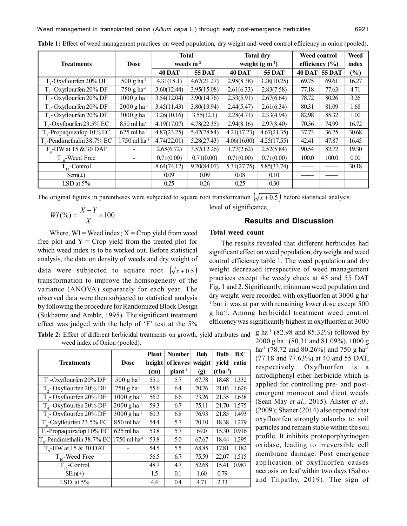|                                     | <b>Dose</b>                     | <b>Total</b>   |               | <b>Total dry</b> |               | Weed control       |          | Weed   |
|-------------------------------------|---------------------------------|----------------|---------------|------------------|---------------|--------------------|----------|--------|
| <b>Treatments</b>                   |                                 | weeds $m^{-2}$ |               | weight $(g m-2)$ |               | efficiency $(\% )$ |          | index  |
|                                     |                                 | <b>40 DAT</b>  | <b>55 DAT</b> | 40 DAT           | <b>55 DAT</b> | 40 DAT             | $55$ DAT | $(\%)$ |
| T,-Oxyflourfen 20% DF               | $500 \text{ g} \text{ ha}^{-1}$ | 4.31(18.1)     | 4.67(21.27)   | 2.98(8.38)       | 3.28(10.25)   | 69.75              | 69.61    | 16.27  |
| $T2$ - Oxyflourfen 20% DF           | 750 g ha $^{-1}$                | 3.60(12.44)    | 3.95(15.08)   | 2.61(6.33)       | 2.83(7.58)    | 77.18              | 77.63    | 4.71   |
| T <sub>2</sub> -Oxyflourfen 20% DF  | $1000 g h a^{-1}$               | 3.54(12.04)    | 3.90(14.76)   | 2.53(5.91)       | 2.67(6.64)    | 78.72              | 80.26    | 3.26   |
| T <sub>4</sub> -Oxyflourfen 20% DF  | $2000 g h a^{-1}$               | 3.45(11.43)    | 3.80(13.94)   | 2.44(5.47)       | 2.61(6.34)    | 80.31              | 81.09    | 1.68   |
| T <sub>c</sub> -Oxyflourfen 20% DF  | $3000 g h a^{-1}$               | 3.26(10.16)    | 3.55(12.1)    | 2.28(4.71)       | 2.33(4.94)    | 82.98              | 85.32    | 1.00   |
| $T_c$ -Oxyflourfen 23.5% EC         | $850$ ml ha <sup>-1</sup>       | 4.19(17.07)    | 4.78(22.35)   | 2.94(8.16)       | 2.97(8.40)    | 70.56              | 74.99    | 16.72  |
| $T_{2}$ -Propaquizafop 10% EC       | $625$ ml ha <sup>-1</sup>       | 4.87(23.25)    | 5.42(28.84)   | 4.21(17.23)      | 4.67(21.35)   | 37.73              | 36.75    | 30.68  |
| $T_{\circ}$ -Pendimethalin 38.7% EC | 1750 ml ha-1                    | 4.74(22.01)    | 5.28(27.43)   | 4.06(16.00)      | 4.25(17.55)   | 42.41              | 47.87    | 16.45  |
| $T_o$ -HW at 15 & 30 DAT            |                                 | 2.68(6.72)     | 3.57(12.26)   | 1.77(2.62)       | 2.52(5.84)    | 90.54              | 82.72    | 19.30  |
| $T_{10}$ -Weed Free                 |                                 | 0.71(0.00)     | 0.71(0.00)    | 0.71(0.00)       | 0.71(0.00)    | 100.0              | 100.0    | 0.00   |
| $T_{11}$ -Control                   |                                 | 8.64(74.12)    | 9.20(84.07)   | 5.31(27.75)      | 5.85(33.74)   |                    |          | 30.18  |
| Sem( $\pm$ )                        |                                 | 0.09           | 0.09          | 0.08             | 0.10          |                    |          |        |
| LSD at 5%                           |                                 | 0.25           | 0.26          | 0.25             | 0.30          |                    |          |        |

**Table 1:** Effect of weed management practices on weed population, dry weight and weed control efficiency in onion (pooled).

The original figures in parentheses were subjected to square root transformation  $\left(\sqrt{x+0.5}\right)$  before statistical analysis.

$$
WI(\%)=\frac{X-Y}{X}\times100
$$

Where,  $WI = Wed$  index;  $X = Crop$  yield from weed free plot and  $Y =$  Crop yield from the treated plot for which weed index is to be worked out. Before statistical analysis, the data on density of weeds and dry weight of data were subjected to square root  $(\sqrt{x+0.5})$ transformation to improve the homsogeneity of the variance (ANOVA) separately for each year. The observed data were then subjected to statistical analysis by following the procedure for Randomized Block Design (Sukhatme and Amble, 1995). The significant treatment effect was judged with the help of 'F' test at the 5%

**Table 2:** Effect of different herbicidal treatments on growth, yield attributes and  $g$  ha<sup>-1</sup> (82.98 and 85.32%) followed by weed index of Onion (pooled).

|                                                        |                                      | Plant  | <b>Number</b>      | <b>Bub</b> | Bulb             | B:C   |
|--------------------------------------------------------|--------------------------------------|--------|--------------------|------------|------------------|-------|
| <b>Treatments</b>                                      | <b>Dose</b>                          | height | of leaves          | weight     | yield            | ratio |
|                                                        |                                      | (cm)   | plant <sup>1</sup> | (g)        | $(t \, ha^{-1})$ |       |
| $T1$ -Oxyflourfen 20% DF                               | $500 \text{ g} \text{ ha}^{-1}$      | 55.1   | 5.7                | 67.78      | 18.48            | 1.332 |
| T <sub>2</sub> -Oxyflourfen 20% DF                     | 750 g ha $^{-1}$                     | 55.6   | 6.4                | 70.76      | 21.03            | 1.626 |
| T <sub>2</sub> -Oxyflourfen 20% DF                     | $1000 g h a^{-1}$                    | 56.2   | 6.6                | 73.26      | 21.35            | 1.638 |
| $T4$ - Oxyflourfen 20% DF                              | $\overline{2000}$ g ha <sup>-1</sup> | 59.3   | 6.7                | 75.11      | 21.70            | 1.575 |
| $T_s$ - Oxyflourfen 20% DF                             | $3000 g h a^{-1}$                    | 60.3   | 6.8                | 76.93      | 21.85            | 1.493 |
| $T_c$ -Oxyflourfen 23.5% EC                            | $850$ ml ha <sup>-1</sup>            | 54.4   | 5.7                | 70.10      | 18.38            | 1.279 |
| $T_{7}$ -Propaquizafop 10% EC                          | $625$ ml ha <sup>-1</sup>            | 53.8   | 5.7                | 69.0       | 15.30            | 0.916 |
| $T_s$ -Pendimethalin 38.7% EC 1750 ml ha <sup>-1</sup> |                                      | 53.8   | 5.0                | 67.67      | 18.44            | 1.295 |
| $T0$ -HW at 15 & 30 DAT                                |                                      | 54.5   | 5.5                | 68.85      | 17.81            | 1.182 |
| $T_{10}$ -Weed Free                                    |                                      | 56.5   | 6.7                | 75.59      | 22.07            | 1.515 |
| $T_{11}$ -Control                                      |                                      | 48.7   | 4.7                | 52.68      | 15.41            | 0.987 |
| $SEm(\pm)$                                             |                                      | 1.5    | 0.1                | 1.60       | 0.79             |       |
| LSD at $5\%$                                           |                                      | 4.4    | 0.4                | 4.71       | 2.33             |       |

#### **Results and Discussion**

## **Total weed count**

level of significance.

The results revealed that different herbicides had significant effect on weed population, dry weight and weed control efficiency table 1. The weed population and dry weight decreased irrespective of weed management practices except the weedy check at 45 and 55 DAT Fig. 1 and 2. Significantly, minimum weed population and dry weight were recorded with oxyfluorfen at 3000 g ha-<sup>1</sup> but it was at par with remaining lower dose except 500 g ha-1. Among herbicidal treatment weed control efficiency was significantly highest in oxyfluorfen at 3000

> 2000 g ha-1 (80.31 and 81.09%), 1000 g ha<sup>-1</sup> (78.72 and 80.26%) and 750 g ha<sup>-1</sup> (77.18 and 77.63%) at 40 and 55 DAT, respectively. Oxyfluorfen is a nitrodiphenyl ether herbicide which is applied for controlling pre- and postemergent monocot and dicot weeds (Sean May *et al.,* 2015). Alister *et al.,* (2009); Shaner (2014) also reported that oxyfluorfen strongly adsorbs to soil particles and remain stable within the soil profile. It inhibits protoporphyrinogen oxidase, leading to irreversible cell membrane damage. Post emergence application of oxyfluorfen causes necrosis on leaf within two days (Sahoo and Tripathy, 2019). The sign of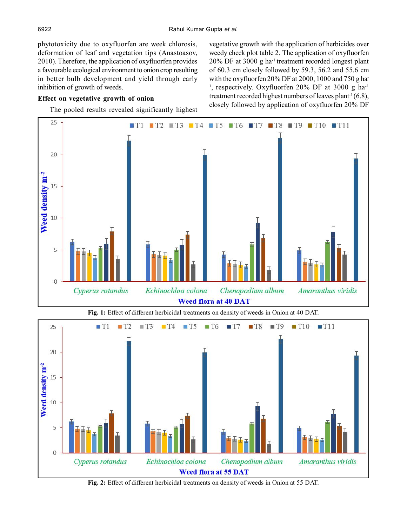phytotoxicity due to oxyfluorfen are week chlorosis, deformation of leaf and vegetation tips (Anastoasov, 2010). Therefore, the application of oxyfluorfen provides a favourable ecological environment to onion crop resulting in better bulb development and yield through early inhibition of growth of weeds.

# **Effect on vegetative growth of onion**

The pooled results revealed significantly highest

vegetative growth with the application of herbicides over weedy check plot table 2. The application of oxyfluorfen 20% DF at 3000 g ha-1 treatment recorded longest plant of 60.3 cm closely followed by 59.3, 56.2 and 55.6 cm with the oxyfluorfen 20% DF at 2000, 1000 and 750 g ha-<sup>1</sup>, respectively. Oxyfluorfen 20% DF at 3000 g ha<sup>-1</sup> treatment recorded highest numbers of leaves plant<sup>-1</sup> $(6.8)$ , closely followed by application of oxyfluorfen 20% DF



**Fig. 2:** Effect of different herbicidal treatments on density of weeds in Onion at 55 DAT.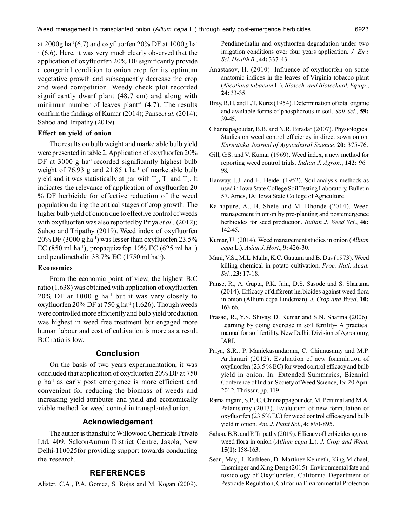at 2000g ha<sup>-1</sup>(6.7) and oxyfluorfen 20% DF at 1000g ha-<sup>1</sup> (6.6). Here, it was very much clearly observed that the application of oxyfluorfen 20% DF significantly provide a congenial condition to onion crop for its optimum vegetative growth and subsequently decrease the crop and weed competition. Weedy check plot recorded significantly dwarf plant (48.7 cm) and along with minimum number of leaves plant<sup>-1</sup>  $(4.7)$ . The results confirm the findings of Kumar (2014); Panse*et al.* (2014); Sahoo and Tripathy (2019).

#### **Effect on yield of onion**

The results on bulb weight and marketable bulb yield were presented in table 2. Application of oxyfluorfen 20% DF at  $3000 \text{ g}$  ha<sup>-1</sup> recorded significantly highest bulb weight of  $76.93$  g and  $21.85$  t ha<sup>-1</sup> of marketable bulb yield and it was statistically at par with  $T_4$ ,  $T_3$  and  $T_2$ . It indicates the relevance of application of oxyfluorfen 20 % DF herbicide for effective reduction of the weed population during the critical stages of crop growth. The higher bulb yield of onion due to effective control of weeds with oxyfluorfen was also reported by Priya *et al.,* (2012); Sahoo and Tripathy (2019). Weed index of oxyfluorfen  $20\%$  DF (3000 g ha<sup>-1</sup>) was lesser than oxyfluorfen 23.5% EC (850 ml ha<sup>-1</sup>), propaquizafop 10% EC (625 ml ha<sup>-1</sup>) and pendimethalin  $38.7\%$  EC (1750 ml ha<sup>-1</sup>).

#### **Economics**

From the economic point of view, the highest B:C ratio (1.638) was obtained with application of oxyfluorfen 20% DF at 1000 g ha-1 but it was very closely to oxyfluorfen 20% DF at 750 g ha<sup>-1</sup> (1.626). Though weeds were controlled more efficiently and bulb yield production was highest in weed free treatment but engaged more human labour and cost of cultivation is more as a result B:C ratio is low.

#### **Conclusion**

On the basis of two years experimentation, it was concluded that application of oxyfluorfen 20% DF at 750 g ha-1 as early post emergence is more efficient and convenient for reducing the biomass of weeds and increasing yield attributes and yield and economically viable method for weed control in transplanted onion.

# **Acknowledgement**

The author is thankful to Willowood Chemicals Private Ltd, 409, SalconAurum District Centre, Jasola, New Delhi-110025for providing support towards conducting the research.

# **REFERENCES**

Alister, C.A., P.A. Gomez, S. Rojas and M. Kogan (2009).

Pendimethalin and oxyfluorfen degradation under two irrigation conditions over four years application. *J. Env. Sci. Health B*., **44:** 337-43.

- Anastasov, H. (2010). Influence of oxyfluorfen on some anatomic indices in the leaves of Virginia tobacco plant (*Nicotiana tabacum* L.). *Biotech. and Biotechnol. Equip.*, **24:** 33-35.
- Bray, R.H. and L.T. Kurtz (1954). Determination of total organic and available forms of phosphorous in soil. *Soil Sci.*, **59:** 39-45.
- Channapagoudar, B.B. and N.R. Biradar (2007). Physiological Studies on weed control efficiency in direct sown onion. *Karnataka Journal of Agricultural Science,* **20:** 375-76.
- Gill, G.S. and V. Kumar (1969). Weed index, a new method for reporting weed control trials. *Indian J. Agron.*, **142:** 96– 98.
- Hanway, J.J. and H. Heidel (1952). Soil analysis methods as used in Iowa State College Soil Testing Laboratory, Bulletin 57. Ames, IA: Iowa State College of Agriculture.
- Kalhapure, A., B. Shete and M. Dhonde (2014). Weed management in onion by pre-planting and postemergence herbicides for seed production. *Indian J. Weed Sci*., **46:** 142-45.
- Kumar, U. (2014). Weed management studies in onion (*Allium cepa* L.). *Asian J. Hort*., **9:** 426-30.
- Mani, V.S., M.L. Malla, K.C. Gautam and B. Das (1973). Weed killing chemical in potato cultivation. *Proc. Natl. Acad. Sci.*, **23:** 17-18.
- Panse, R., A. Gupta, P.K. Jain, D.S. Sasode and S. Sharama (2014). Efficacy of different herbicides against weed flora in onion (Allium cepa Lindeman). *J. Crop and Weed*, **10:** 163-66.
- Prasad, R., Y.S. Shivay, D. Kumar and S.N. Sharma (2006). Learning by doing exercise in soil fertility- A practical manual for soil fertility. New Delhi: Division of Agronomy, IARI.
- Priya, S.R., P. Manickasundaram, C. Chinnusamy and M.P. Arthanari (2012). Evaluation of new formulation of oxyfluorfen (23.5 % EC) for weed control efficacy and bulb yield in onion. In: Extended Summaries, Biennial Conference of Indian Society of Weed Science, 19-20 April 2012, Thrissur. pp. 119.
- Ramalingam, S.P., C. Chinnappagounder, M. Perumal and M.A. Palanisamy (2013). Evaluation of new formulation of oxyfluorfen (23.5% EC) for weed control efficacy and bulb yield in onion. *Am. J. Plant Sci.*, **4:** 890-895.
- Sahoo, B.B. and P. Tripathy (2019). Efficacy of herbicides against weed flora in onion (*Allium cepa* L.). *J. Crop and Weed,* **15(1):** 158-163.
- Sean, May., J. Kathleen, D. Martinez Kenneth, King Michael, Ensminger and Xing Deng (2015). Environmental fate and toxicology of Oxyfluorfen, California Department of Pesticide Regulation, California Environmental Protection